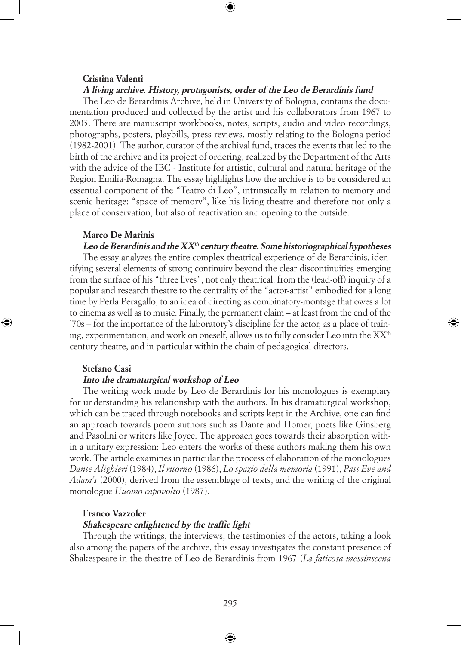### **Cristina Valenti**

## **A living archive. History, protagonists, order of the Leo de Berardinis fund**

⊕

The Leo de Berardinis Archive, held in University of Bologna, contains the documentation produced and collected by the artist and his collaborators from 1967 to 2003. There are manuscript workbooks, notes, scripts, audio and video recordings, photographs, posters, playbills, press reviews, mostly relating to the Bologna period (1982-2001). The author, curator of the archival fund, traces the events that led to the birth of the archive and its project of ordering, realized by the Department of the Arts with the advice of the IBC - Institute for artistic, cultural and natural heritage of the Region Emilia-Romagna. The essay highlights how the archive is to be considered an essential component of the "Teatro di Leo", intrinsically in relation to memory and scenic heritage: "space of memory", like his living theatre and therefore not only a place of conservation, but also of reactivation and opening to the outside.

## **Marco De Marinis**

# **Leo de Berardinis and the XXth century theatre. Some historiographical hypotheses**

The essay analyzes the entire complex theatrical experience of de Berardinis, identifying several elements of strong continuity beyond the clear discontinuities emerging from the surface of his "three lives", not only theatrical: from the (lead-off) inquiry of a popular and research theatre to the centrality of the "actor-artist" embodied for a long time by Perla Peragallo, to an idea of directing as combinatory-montage that owes a lot to cinema as well as to music. Finally, the permanent claim – at least from the end of the '70s – for the importance of the laboratory's discipline for the actor, as a place of training, experimentation, and work on oneself, allows us to fully consider Leo into the  $XX<sup>th</sup>$ century theatre, and in particular within the chain of pedagogical directors.

◈

# **Stefano Casi**

◈

### **Into the dramaturgical workshop of Leo**

The writing work made by Leo de Berardinis for his monologues is exemplary for understanding his relationship with the authors. In his dramaturgical workshop, which can be traced through notebooks and scripts kept in the Archive, one can find an approach towards poem authors such as Dante and Homer, poets like Ginsberg and Pasolini or writers like Joyce. The approach goes towards their absorption within a unitary expression: Leo enters the works of these authors making them his own work. The article examines in particular the process of elaboration of the monologues *Dante Alighieri* (1984), *Il ritorno* (1986), *Lo spazio della memoria* (1991), *Past Eve and Adam's* (2000), derived from the assemblage of texts, and the writing of the original monologue *L'uomo capovolto* (1987).

# **Franco Vazzoler**

### **Shakespeare enlightened by the traffic light**

Through the writings, the interviews, the testimonies of the actors, taking a look also among the papers of the archive, this essay investigates the constant presence of Shakespeare in the theatre of Leo de Berardinis from 1967 (*La faticosa messinscena*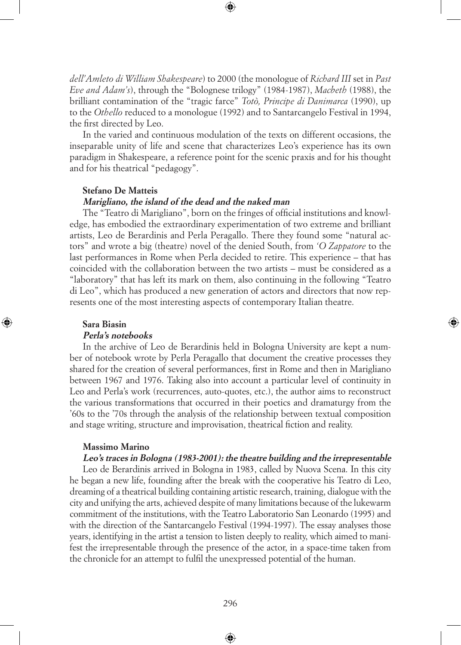*dell'Amleto di William Shakespeare*) to 2000 (the monologue of *Richard III* set in *Past Eve and Adam's*), through the "Bolognese trilogy" (1984-1987), *Macbeth* (1988), the brilliant contamination of the "tragic farce" *Totò, Principe di Danimarca* (1990), up to the *Othello* reduced to a monologue (1992) and to Santarcangelo Festival in 1994, the first directed by Leo.

⊕

In the varied and continuous modulation of the texts on different occasions, the inseparable unity of life and scene that characterizes Leo's experience has its own paradigm in Shakespeare, a reference point for the scenic praxis and for his thought and for his theatrical "pedagogy".

### **Stefano De Matteis**

## **Marigliano, the island of the dead and the naked man**

The "Teatro di Marigliano", born on the fringes of official institutions and knowledge, has embodied the extraordinary experimentation of two extreme and brilliant artists, Leo de Berardinis and Perla Peragallo. There they found some "natural actors" and wrote a big (theatre) novel of the denied South, from *'O Zappatore* to the last performances in Rome when Perla decided to retire. This experience – that has coincided with the collaboration between the two artists – must be considered as a "laboratory" that has left its mark on them, also continuing in the following "Teatro di Leo", which has produced a new generation of actors and directors that now represents one of the most interesting aspects of contemporary Italian theatre.

#### **Sara Biasin**

◈

#### **Perla's notebooks**

In the archive of Leo de Berardinis held in Bologna University are kept a number of notebook wrote by Perla Peragallo that document the creative processes they shared for the creation of several performances, first in Rome and then in Marigliano between 1967 and 1976. Taking also into account a particular level of continuity in Leo and Perla's work (recurrences, auto-quotes, etc.), the author aims to reconstruct the various transformations that occurred in their poetics and dramaturgy from the '60s to the '70s through the analysis of the relationship between textual composition and stage writing, structure and improvisation, theatrical fiction and reality.

◈

### **Massimo Marino**

# **Leo's traces in Bologna (1983-2001): the theatre building and the irrepresentable**

Leo de Berardinis arrived in Bologna in 1983, called by Nuova Scena. In this city he began a new life, founding after the break with the cooperative his Teatro di Leo, dreaming of a theatrical building containing artistic research, training, dialogue with the city and unifying the arts, achieved despite of many limitations because of the lukewarm commitment of the institutions, with the Teatro Laboratorio San Leonardo (1995) and with the direction of the Santarcangelo Festival (1994-1997). The essay analyses those years, identifying in the artist a tension to listen deeply to reality, which aimed to manifest the irrepresentable through the presence of the actor, in a space-time taken from the chronicle for an attempt to fulfil the unexpressed potential of the human.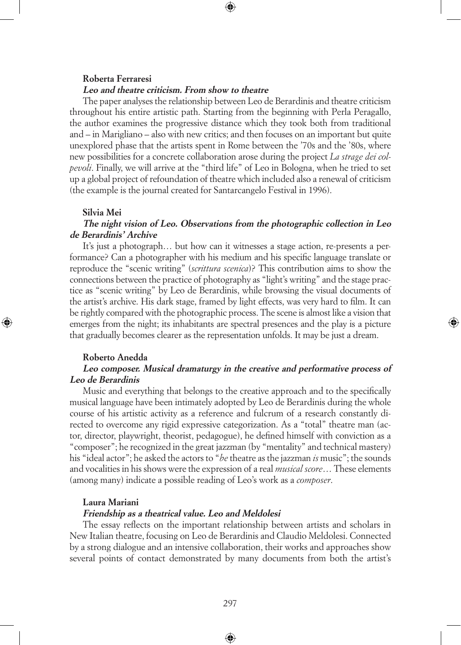# **Roberta Ferraresi**

### **Leo and theatre criticism. From show to theatre**

The paper analyses the relationship between Leo de Berardinis and theatre criticism throughout his entire artistic path. Starting from the beginning with Perla Peragallo, the author examines the progressive distance which they took both from traditional and – in Marigliano – also with new critics; and then focuses on an important but quite unexplored phase that the artists spent in Rome between the '70s and the '80s, where new possibilities for a concrete collaboration arose during the project *La strage dei colpevoli*. Finally, we will arrive at the "third life" of Leo in Bologna, when he tried to set up a global project of refoundation of theatre which included also a renewal of criticism (the example is the journal created for Santarcangelo Festival in 1996).

⊕

### **Silvia Mei**

# **The night vision of Leo. Observations from the photographic collection in Leo de Berardinis' Archive**

It's just a photograph… but how can it witnesses a stage action, re-presents a performance? Can a photographer with his medium and his specific language translate or reproduce the "scenic writing" (*scrittura scenica*)? This contribution aims to show the connections between the practice of photography as "light's writing" and the stage practice as "scenic writing" by Leo de Berardinis, while browsing the visual documents of the artist's archive. His dark stage, framed by light effects, was very hard to film. It can be rightly compared with the photographic process. The scene is almost like a vision that emerges from the night; its inhabitants are spectral presences and the play is a picture that gradually becomes clearer as the representation unfolds. It may be just a dream.

◈

### **Roberto Anedda**

◈

# **Leo composer. Musical dramaturgy in the creative and performative process of Leo de Berardinis**

Music and everything that belongs to the creative approach and to the specifically musical language have been intimately adopted by Leo de Berardinis during the whole course of his artistic activity as a reference and fulcrum of a research constantly directed to overcome any rigid expressive categorization. As a "total" theatre man (actor, director, playwright, theorist, pedagogue), he defined himself with conviction as a "composer"; he recognized in the great jazzman (by "mentality" and technical mastery) his "ideal actor"; he asked the actors to "*be* theatre as the jazzman *is* music"; the sounds and vocalities in his shows were the expression of a real *musical score*… These elements (among many) indicate a possible reading of Leo's work as a *composer*.

### **Laura Mariani**

## **Friendship as a theatrical value. Leo and Meldolesi**

The essay reflects on the important relationship between artists and scholars in New Italian theatre, focusing on Leo de Berardinis and Claudio Meldolesi. Connected by a strong dialogue and an intensive collaboration, their works and approaches show several points of contact demonstrated by many documents from both the artist's